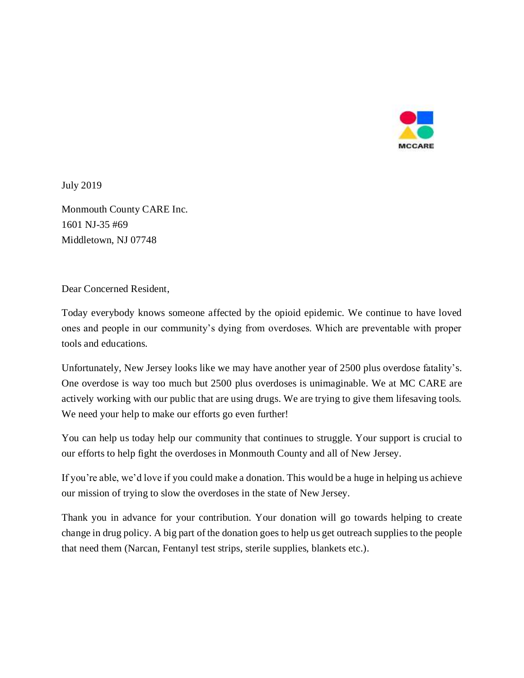

July 2019

Monmouth County CARE Inc. 1601 NJ-35 #69 Middletown, NJ 07748

Dear Concerned Resident,

Today everybody knows someone affected by the opioid epidemic. We continue to have loved ones and people in our community's dying from overdoses. Which are preventable with proper tools and educations.

Unfortunately, New Jersey looks like we may have another year of 2500 plus overdose fatality's. One overdose is way too much but 2500 plus overdoses is unimaginable. We at MC CARE are actively working with our public that are using drugs. We are trying to give them lifesaving tools. We need your help to make our efforts go even further!

You can help us today help our community that continues to struggle. Your support is crucial to our efforts to help fight the overdoses in Monmouth County and all of New Jersey.

If you're able, we'd love if you could make a donation. This would be a huge in helping us achieve our mission of trying to slow the overdoses in the state of New Jersey.

Thank you in advance for your contribution. Your donation will go towards helping to create change in drug policy. A big part of the donation goes to help us get outreach supplies to the people that need them (Narcan, Fentanyl test strips, sterile supplies, blankets etc.).